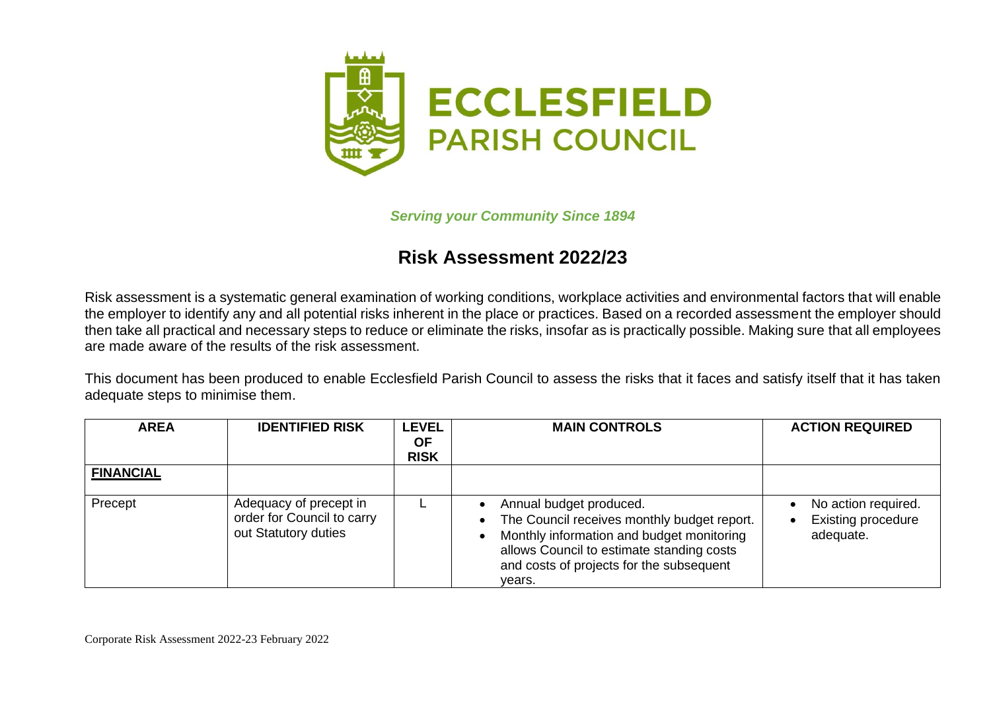

*Serving your Community Since 1894*

## **Risk Assessment 2022/23**

Risk assessment is a systematic general examination of working conditions, workplace activities and environmental factors that will enable the employer to identify any and all potential risks inherent in the place or practices. Based on a recorded assessment the employer should then take all practical and necessary steps to reduce or eliminate the risks, insofar as is practically possible. Making sure that all employees are made aware of the results of the risk assessment.

This document has been produced to enable Ecclesfield Parish Council to assess the risks that it faces and satisfy itself that it has taken adequate steps to minimise them.

| <b>AREA</b>      | <b>IDENTIFIED RISK</b>                                                       | <b>LEVEL</b><br>ΟF<br><b>RISK</b> | <b>MAIN CONTROLS</b>                                                                                                                                                                                                   | <b>ACTION REQUIRED</b>                                        |
|------------------|------------------------------------------------------------------------------|-----------------------------------|------------------------------------------------------------------------------------------------------------------------------------------------------------------------------------------------------------------------|---------------------------------------------------------------|
| <b>FINANCIAL</b> |                                                                              |                                   |                                                                                                                                                                                                                        |                                                               |
| Precept          | Adequacy of precept in<br>order for Council to carry<br>out Statutory duties |                                   | Annual budget produced.<br>The Council receives monthly budget report.<br>Monthly information and budget monitoring<br>allows Council to estimate standing costs<br>and costs of projects for the subsequent<br>vears. | No action required.<br><b>Existing procedure</b><br>adequate. |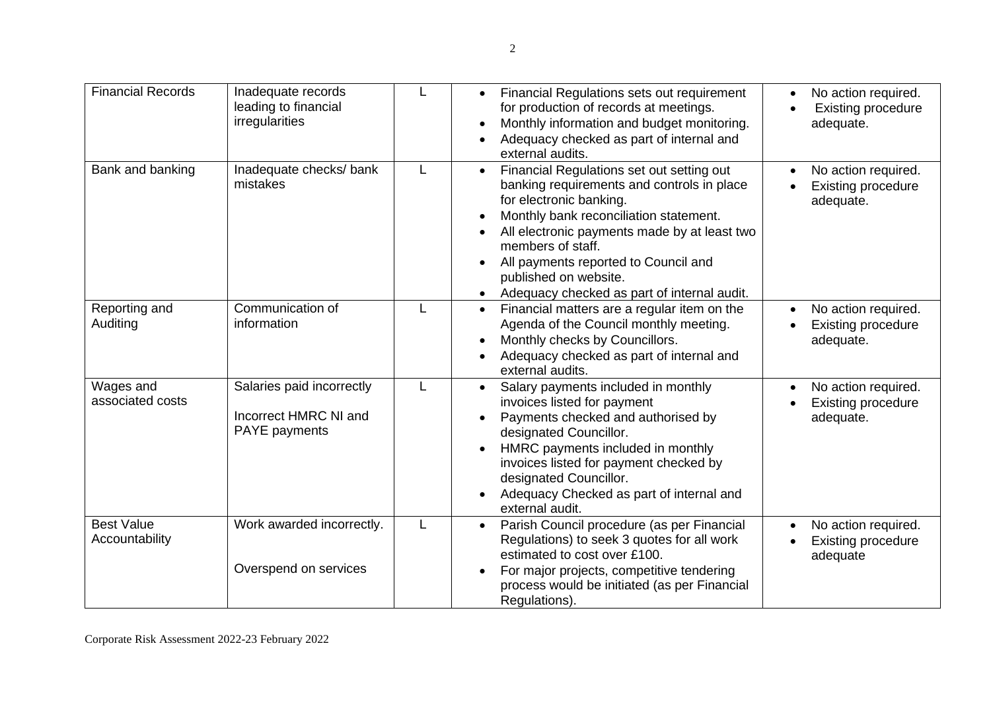| <b>Financial Records</b>            | Inadequate records<br>leading to financial<br>irregularities               | L | Financial Regulations sets out requirement<br>for production of records at meetings.<br>Monthly information and budget monitoring.<br>$\bullet$<br>Adequacy checked as part of internal and<br>external audits.                                                                                                                                                | No action required.<br><b>Existing procedure</b><br>adequate. |
|-------------------------------------|----------------------------------------------------------------------------|---|----------------------------------------------------------------------------------------------------------------------------------------------------------------------------------------------------------------------------------------------------------------------------------------------------------------------------------------------------------------|---------------------------------------------------------------|
| Bank and banking                    | Inadequate checks/ bank<br>mistakes                                        | L | Financial Regulations set out setting out<br>$\bullet$<br>banking requirements and controls in place<br>for electronic banking.<br>Monthly bank reconciliation statement.<br>All electronic payments made by at least two<br>members of staff.<br>All payments reported to Council and<br>published on website.<br>Adequacy checked as part of internal audit. | No action required.<br><b>Existing procedure</b><br>adequate. |
| Reporting and<br>Auditing           | Communication of<br>information                                            | L | Financial matters are a regular item on the<br>$\bullet$<br>Agenda of the Council monthly meeting.<br>Monthly checks by Councillors.<br>Adequacy checked as part of internal and<br>external audits.                                                                                                                                                           | No action required.<br><b>Existing procedure</b><br>adequate. |
| Wages and<br>associated costs       | Salaries paid incorrectly<br>Incorrect HMRC NI and<br><b>PAYE</b> payments | L | Salary payments included in monthly<br>$\bullet$<br>invoices listed for payment<br>Payments checked and authorised by<br>designated Councillor.<br>HMRC payments included in monthly<br>invoices listed for payment checked by<br>designated Councillor.<br>Adequacy Checked as part of internal and<br>$\bullet$<br>external audit.                           | No action required.<br><b>Existing procedure</b><br>adequate. |
| <b>Best Value</b><br>Accountability | Work awarded incorrectly.<br>Overspend on services                         | L | Parish Council procedure (as per Financial<br>Regulations) to seek 3 quotes for all work<br>estimated to cost over £100.<br>For major projects, competitive tendering<br>process would be initiated (as per Financial<br>Regulations).                                                                                                                         | No action required.<br><b>Existing procedure</b><br>adequate  |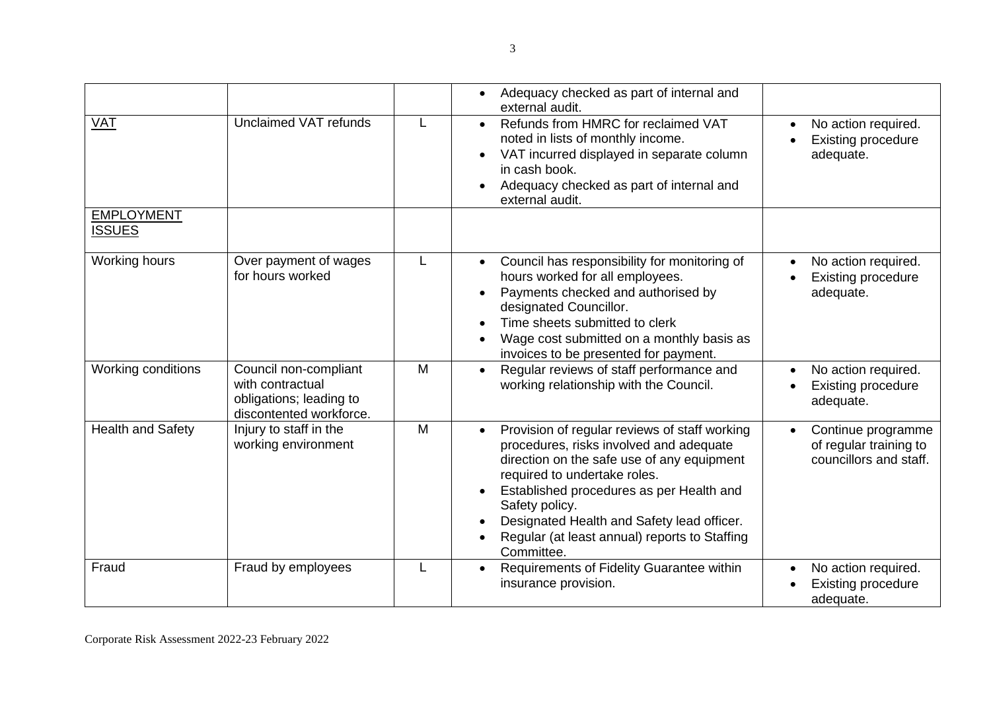|                                    |                                                                                                 |   | Adequacy checked as part of internal and<br>$\bullet$<br>external audit.                                                                                                                                                                                                                                                                                       |                                                                        |
|------------------------------------|-------------------------------------------------------------------------------------------------|---|----------------------------------------------------------------------------------------------------------------------------------------------------------------------------------------------------------------------------------------------------------------------------------------------------------------------------------------------------------------|------------------------------------------------------------------------|
| <b>VAT</b>                         | Unclaimed VAT refunds                                                                           |   | Refunds from HMRC for reclaimed VAT<br>$\bullet$<br>noted in lists of monthly income.<br>VAT incurred displayed in separate column<br>in cash book.<br>Adequacy checked as part of internal and<br>external audit.                                                                                                                                             | No action required.<br><b>Existing procedure</b><br>adequate.          |
| <b>EMPLOYMENT</b><br><b>ISSUES</b> |                                                                                                 |   |                                                                                                                                                                                                                                                                                                                                                                |                                                                        |
| Working hours                      | Over payment of wages<br>for hours worked                                                       | L | Council has responsibility for monitoring of<br>$\bullet$<br>hours worked for all employees.<br>Payments checked and authorised by<br>designated Councillor.<br>Time sheets submitted to clerk<br>Wage cost submitted on a monthly basis as<br>invoices to be presented for payment.                                                                           | No action required.<br><b>Existing procedure</b><br>adequate.          |
| Working conditions                 | Council non-compliant<br>with contractual<br>obligations; leading to<br>discontented workforce. | M | Regular reviews of staff performance and<br>working relationship with the Council.                                                                                                                                                                                                                                                                             | No action required.<br><b>Existing procedure</b><br>adequate.          |
| <b>Health and Safety</b>           | Injury to staff in the<br>working environment                                                   | M | Provision of regular reviews of staff working<br>$\bullet$<br>procedures, risks involved and adequate<br>direction on the safe use of any equipment<br>required to undertake roles.<br>Established procedures as per Health and<br>Safety policy.<br>Designated Health and Safety lead officer.<br>Regular (at least annual) reports to Staffing<br>Committee. | Continue programme<br>of regular training to<br>councillors and staff. |
| Fraud                              | Fraud by employees                                                                              |   | Requirements of Fidelity Guarantee within<br>$\bullet$<br>insurance provision.                                                                                                                                                                                                                                                                                 | No action required.<br><b>Existing procedure</b><br>adequate.          |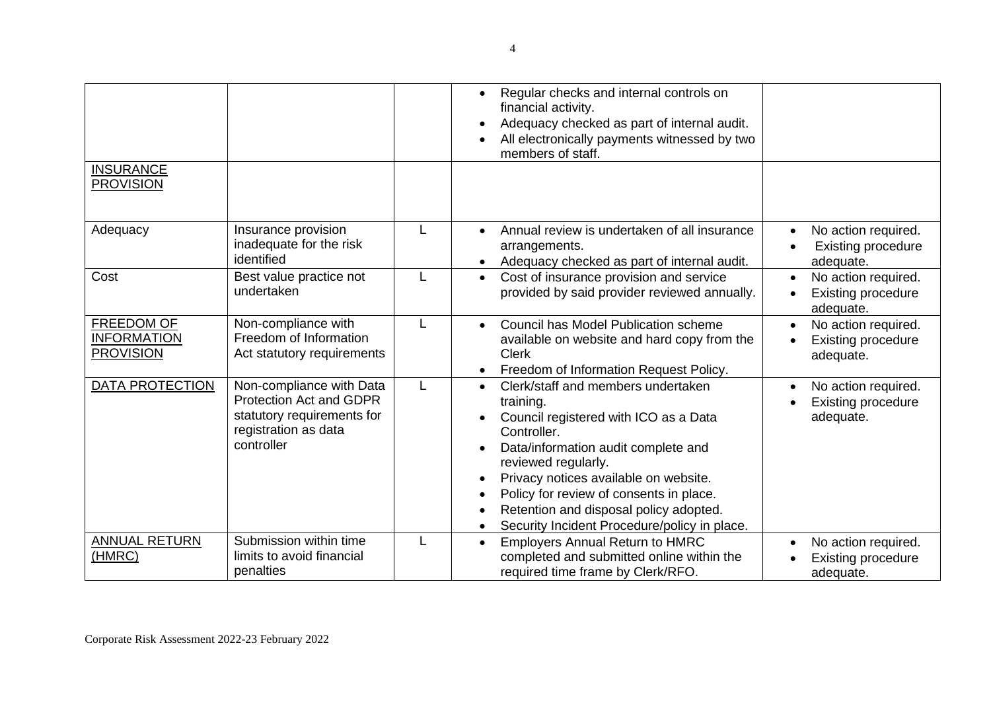| <b>INSURANCE</b><br><b>PROVISION</b>                 |                                                                                                                                |   | Regular checks and internal controls on<br>$\bullet$<br>financial activity.<br>Adequacy checked as part of internal audit.<br>All electronically payments witnessed by two<br>members of staff.                                                                                                                                                                               |                                                               |
|------------------------------------------------------|--------------------------------------------------------------------------------------------------------------------------------|---|-------------------------------------------------------------------------------------------------------------------------------------------------------------------------------------------------------------------------------------------------------------------------------------------------------------------------------------------------------------------------------|---------------------------------------------------------------|
| Adequacy                                             | Insurance provision<br>inadequate for the risk<br>identified                                                                   | L | Annual review is undertaken of all insurance<br>arrangements.<br>Adequacy checked as part of internal audit.<br>$\bullet$                                                                                                                                                                                                                                                     | No action required.<br><b>Existing procedure</b><br>adequate. |
| Cost                                                 | Best value practice not<br>undertaken                                                                                          | L | Cost of insurance provision and service<br>$\bullet$<br>provided by said provider reviewed annually.                                                                                                                                                                                                                                                                          | No action required.<br><b>Existing procedure</b><br>adequate. |
| FREEDOM OF<br><b>INFORMATION</b><br><b>PROVISION</b> | Non-compliance with<br>Freedom of Information<br>Act statutory requirements                                                    | L | Council has Model Publication scheme<br>available on website and hard copy from the<br><b>Clerk</b><br>Freedom of Information Request Policy.                                                                                                                                                                                                                                 | No action required.<br><b>Existing procedure</b><br>adequate. |
| <b>DATA PROTECTION</b>                               | Non-compliance with Data<br><b>Protection Act and GDPR</b><br>statutory requirements for<br>registration as data<br>controller | L | Clerk/staff and members undertaken<br>$\bullet$<br>training.<br>Council registered with ICO as a Data<br>Controller.<br>Data/information audit complete and<br>reviewed regularly.<br>Privacy notices available on website.<br>$\bullet$<br>Policy for review of consents in place.<br>Retention and disposal policy adopted.<br>Security Incident Procedure/policy in place. | No action required.<br><b>Existing procedure</b><br>adequate. |
| <b>ANNUAL RETURN</b><br>(HMRC)                       | Submission within time<br>limits to avoid financial<br>penalties                                                               |   | <b>Employers Annual Return to HMRC</b><br>$\bullet$<br>completed and submitted online within the<br>required time frame by Clerk/RFO.                                                                                                                                                                                                                                         | No action required.<br><b>Existing procedure</b><br>adequate. |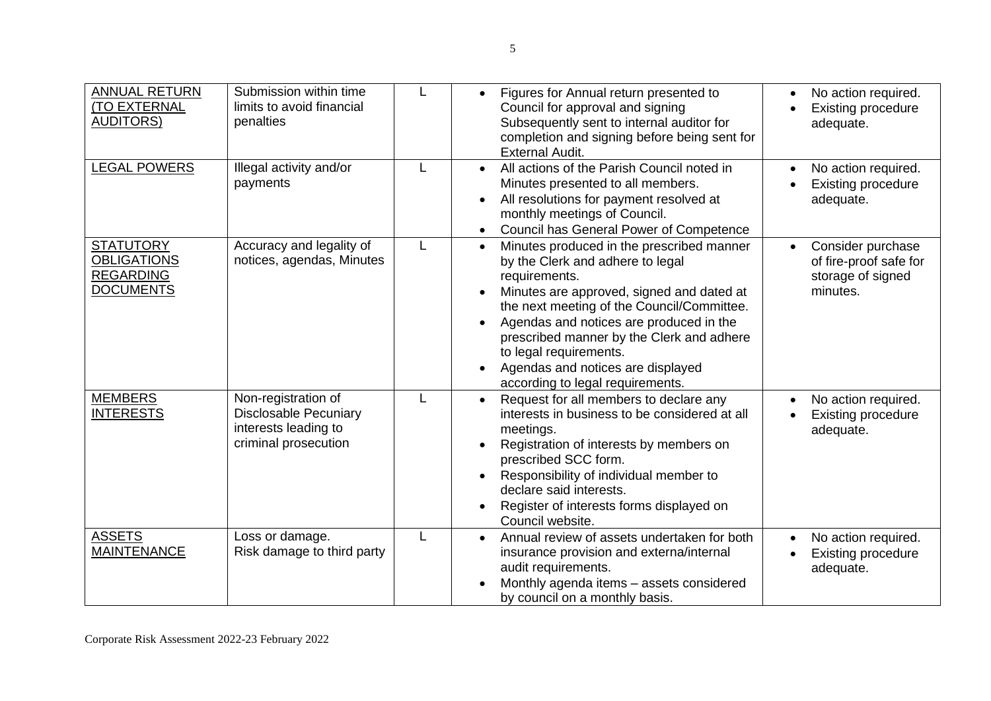| <b>ANNUAL RETURN</b><br><b>(TO EXTERNAL</b><br><b>AUDITORS)</b>                | Submission within time<br>limits to avoid financial<br>penalties                                    |   | Figures for Annual return presented to<br>$\bullet$<br>Council for approval and signing<br>Subsequently sent to internal auditor for<br>completion and signing before being sent for<br><b>External Audit.</b>                                                                                                                                                                                                              | No action required.<br><b>Existing procedure</b><br>adequate.                |
|--------------------------------------------------------------------------------|-----------------------------------------------------------------------------------------------------|---|-----------------------------------------------------------------------------------------------------------------------------------------------------------------------------------------------------------------------------------------------------------------------------------------------------------------------------------------------------------------------------------------------------------------------------|------------------------------------------------------------------------------|
| <b>LEGAL POWERS</b>                                                            | Illegal activity and/or<br>payments                                                                 |   | All actions of the Parish Council noted in<br>$\bullet$<br>Minutes presented to all members.<br>All resolutions for payment resolved at<br>$\bullet$<br>monthly meetings of Council.<br>Council has General Power of Competence<br>$\bullet$                                                                                                                                                                                | No action required.<br><b>Existing procedure</b><br>adequate.                |
| <b>STATUTORY</b><br><b>OBLIGATIONS</b><br><b>REGARDING</b><br><b>DOCUMENTS</b> | Accuracy and legality of<br>notices, agendas, Minutes                                               | L | Minutes produced in the prescribed manner<br>$\bullet$<br>by the Clerk and adhere to legal<br>requirements.<br>Minutes are approved, signed and dated at<br>$\bullet$<br>the next meeting of the Council/Committee.<br>Agendas and notices are produced in the<br>$\bullet$<br>prescribed manner by the Clerk and adhere<br>to legal requirements.<br>Agendas and notices are displayed<br>according to legal requirements. | Consider purchase<br>of fire-proof safe for<br>storage of signed<br>minutes. |
| <b>MEMBERS</b><br><b>INTERESTS</b>                                             | Non-registration of<br><b>Disclosable Pecuniary</b><br>interests leading to<br>criminal prosecution |   | Request for all members to declare any<br>$\bullet$<br>interests in business to be considered at all<br>meetings.<br>Registration of interests by members on<br>prescribed SCC form.<br>Responsibility of individual member to<br>$\bullet$<br>declare said interests.<br>Register of interests forms displayed on<br>Council website.                                                                                      | No action required.<br><b>Existing procedure</b><br>adequate.                |
| <b>ASSETS</b><br><b>MAINTENANCE</b>                                            | Loss or damage.<br>Risk damage to third party                                                       | L | Annual review of assets undertaken for both<br>insurance provision and externa/internal<br>audit requirements.<br>Monthly agenda items - assets considered<br>by council on a monthly basis.                                                                                                                                                                                                                                | No action required.<br><b>Existing procedure</b><br>adequate.                |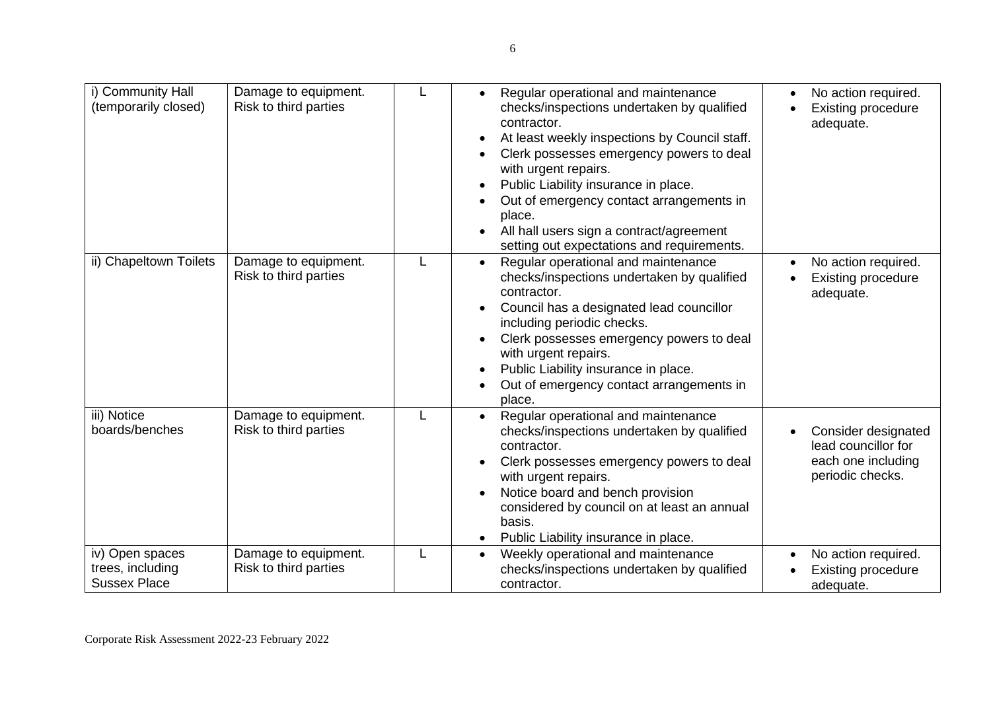| i) Community Hall<br>(temporarily closed)                  | Damage to equipment.<br>Risk to third parties | L | Regular operational and maintenance<br>$\bullet$<br>checks/inspections undertaken by qualified<br>contractor.<br>At least weekly inspections by Council staff.<br>$\bullet$<br>Clerk possesses emergency powers to deal<br>with urgent repairs.<br>Public Liability insurance in place.<br>$\bullet$<br>Out of emergency contact arrangements in<br>place.<br>All hall users sign a contract/agreement<br>setting out expectations and requirements. | No action required.<br><b>Existing procedure</b><br>adequate.                        |
|------------------------------------------------------------|-----------------------------------------------|---|------------------------------------------------------------------------------------------------------------------------------------------------------------------------------------------------------------------------------------------------------------------------------------------------------------------------------------------------------------------------------------------------------------------------------------------------------|--------------------------------------------------------------------------------------|
| ii) Chapeltown Toilets                                     | Damage to equipment.<br>Risk to third parties | L | Regular operational and maintenance<br>checks/inspections undertaken by qualified<br>contractor.<br>Council has a designated lead councillor<br>including periodic checks.<br>Clerk possesses emergency powers to deal<br>with urgent repairs.<br>Public Liability insurance in place.<br>$\bullet$<br>Out of emergency contact arrangements in<br>place.                                                                                            | No action required.<br><b>Existing procedure</b><br>adequate.                        |
| iii) Notice<br>boards/benches                              | Damage to equipment.<br>Risk to third parties | L | Regular operational and maintenance<br>checks/inspections undertaken by qualified<br>contractor.<br>Clerk possesses emergency powers to deal<br>with urgent repairs.<br>Notice board and bench provision<br>considered by council on at least an annual<br>basis.<br>Public Liability insurance in place.                                                                                                                                            | Consider designated<br>lead councillor for<br>each one including<br>periodic checks. |
| iv) Open spaces<br>trees, including<br><b>Sussex Place</b> | Damage to equipment.<br>Risk to third parties | L | Weekly operational and maintenance<br>checks/inspections undertaken by qualified<br>contractor.                                                                                                                                                                                                                                                                                                                                                      | No action required.<br><b>Existing procedure</b><br>adequate.                        |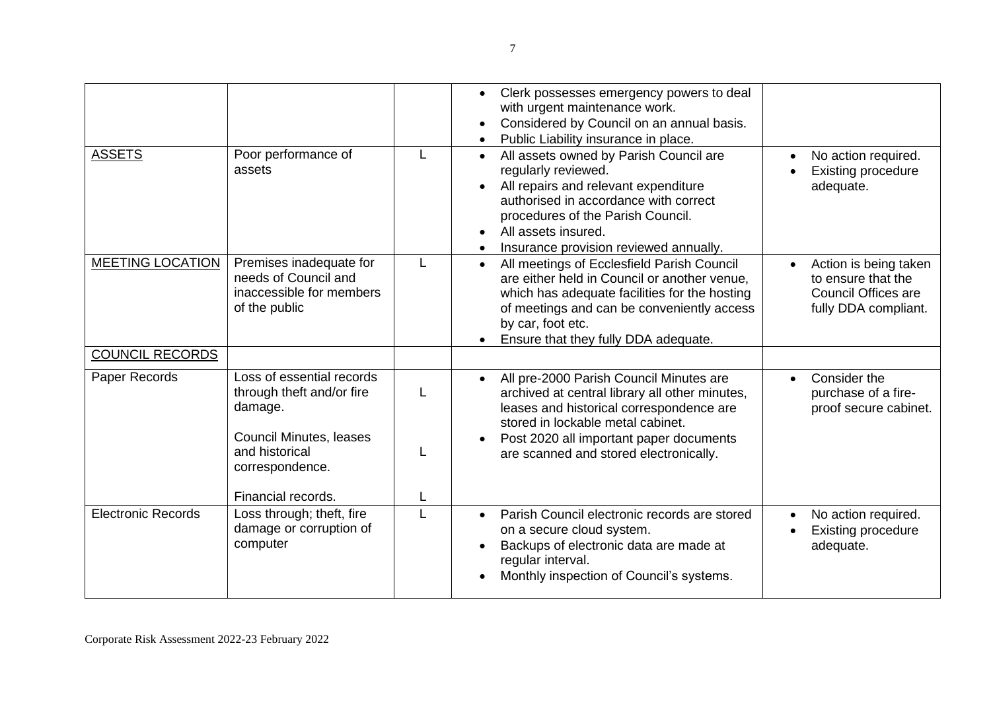| <b>ASSETS</b>             | Poor performance of<br>assets                                                                                                     | L      | Clerk possesses emergency powers to deal<br>$\bullet$<br>with urgent maintenance work.<br>Considered by Council on an annual basis.<br>Public Liability insurance in place.<br>All assets owned by Parish Council are<br>$\bullet$<br>regularly reviewed.<br>All repairs and relevant expenditure<br>authorised in accordance with correct<br>procedures of the Parish Council.<br>All assets insured.<br>Insurance provision reviewed annually. | No action required.<br><b>Existing procedure</b><br>adequate.                              |
|---------------------------|-----------------------------------------------------------------------------------------------------------------------------------|--------|--------------------------------------------------------------------------------------------------------------------------------------------------------------------------------------------------------------------------------------------------------------------------------------------------------------------------------------------------------------------------------------------------------------------------------------------------|--------------------------------------------------------------------------------------------|
| <b>MEETING LOCATION</b>   | Premises inadequate for<br>needs of Council and<br>inaccessible for members<br>of the public                                      | L      | All meetings of Ecclesfield Parish Council<br>$\bullet$<br>are either held in Council or another venue,<br>which has adequate facilities for the hosting<br>of meetings and can be conveniently access<br>by car, foot etc.<br>Ensure that they fully DDA adequate.                                                                                                                                                                              | Action is being taken<br>to ensure that the<br>Council Offices are<br>fully DDA compliant. |
| <b>COUNCIL RECORDS</b>    |                                                                                                                                   |        |                                                                                                                                                                                                                                                                                                                                                                                                                                                  |                                                                                            |
| Paper Records             | Loss of essential records<br>through theft and/or fire<br>damage.<br>Council Minutes, leases<br>and historical<br>correspondence. | L<br>L | All pre-2000 Parish Council Minutes are<br>archived at central library all other minutes,<br>leases and historical correspondence are<br>stored in lockable metal cabinet.<br>Post 2020 all important paper documents<br>are scanned and stored electronically.                                                                                                                                                                                  | Consider the<br>purchase of a fire-<br>proof secure cabinet.                               |
|                           | Financial records.                                                                                                                | L      |                                                                                                                                                                                                                                                                                                                                                                                                                                                  |                                                                                            |
| <b>Electronic Records</b> | Loss through; theft, fire<br>damage or corruption of<br>computer                                                                  | L      | Parish Council electronic records are stored<br>$\bullet$<br>on a secure cloud system.<br>Backups of electronic data are made at<br>regular interval.<br>Monthly inspection of Council's systems.                                                                                                                                                                                                                                                | No action required.<br><b>Existing procedure</b><br>adequate.                              |